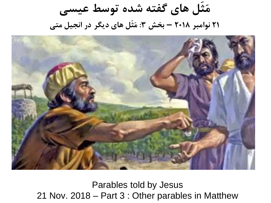**مَثَل های گفته شده توسط عیسی 21 نوامبر 2018 – بخش :3 مَثَل های دیگر در انجیل متی**



Parables told by Jesus 21 Nov. 2018 – Part 3 : Other parables in Matthew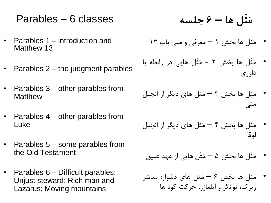### Parables – 6 classes

- Parables 1 introduction and Matthew 13
- Parables 2 the judgment parables
- Parables 3 other parables from **Matthew**
- Parables 4 other parables from Luke
- Parables 5 some parables from the Old Testament
- Parables 6 Difficult parables: Unjust steward; Rich man and Lazarus; Moving mountains

**مَثَل ها – 6 جلسه**

- مَثَل ها بخش 1 معرفی و متی باب 13
- مَثَل ها بخش 2 مَثَل هایی در رابطه با داوری
- مَثَل ها بخش 3 مَثَل های دیگر از انجیل متی
- مَثَل ها بخش 4 مَثَل های دیگر از انجیل لوقا
- مَثَل ها بخش 5 مَثَل هایی از عهد عتیق
- مَثَل ها بخش 6 مَثَل های دشوار: مباشر زیرک، توانگر و ایلعازر، حرکت کوه ها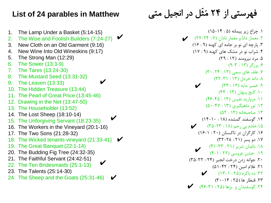#### **List of 24 parables in Matthew**

- 1. The Lamp Under a Basket (5:14-15)
- 2. The Wise and Foolish Builders (7:24-27) ✔
- 3. New Cloth on an Old Garment (9:16)
- 4. New Wine Into Old Wineskins (9:17)
- 5. The Strong Man (12:29)
- 6. The Sower (13:3-9)
- 7. The Tares (13:24-30)
- 8. The Mustard Seed (13:31-32)
- 9. The Leaven (13:33)
- 10. The Hidden Treasure (13:44)
- 11. The Pearl of Great Price (13:45-46)
- 12. Drawing in the Net (13:47-50)
- 13. The Householder (13:52)
- 14. The Lost Sheep (18:10-14)
- 15. The Unforgiving Servant (18:23-35)
- 16. The Workers in the Vineyard (20:1-16)
- 17. The Two Sons (21:28-32)
- 18. The Wicked tenants vineyard (21:33-41) ✔

✔

✔

✔

- 19. The Great Banquet (22:1-14)
- 20. The Budding Fig Tree (24:32-35)
- 21. The Faithful Servant (24:42-51)
- 22. The Ten Bridesmaids (25:1-13)
- 23. The Talents (25:14-30)
- 24. The Sheep and the Goats (25:31-46) ✔

# فهرستی از 24 مَثَل در انجیل متی

.1 چراغ زیر پیمانه (۱۴ : ۱۴-۱۵) .2 معمار دانا و معمار نادان )7 : 27-24( ✔ .3 پارچه ای نو بر جامه ای کهنه (۹ : ۱۶) .4 شراب نو در مشک های کهنه )9 : 17( .5 مرد نیرومند )12 : 29( .6 برزگر (۱۳: ۶-۹) .7 علف های سمی )13 : 30-24( .8 دانه خردل )13 : 32-31( .9 خمیر مایه )13 : 33( ✔ .10 گنج پنهان )13 : 44(  $(95 - 6 \cdot 17)$ . مروارید نفیس (۱۳ .12 تور ماهیگیری )13 : 50-47( .13 صاحبخانه )13 : 52( .14 گوسفند گمشده )18 : 14-10( ۰۱۵.خادم بی رحم (۲۸ : ۳۵-۳۵) ۱۶. کارگران در تاکستان (۲۰ : ۱-۱۶)  $(57 - 7)$ . دو پسر (٢١ : ٢٨-٣٢) ۱۸. باغبان شریر (۲۱ : ۴۲−۴۱)<br>۱۹ .<br>۱۹. جشن عروسی (۲۲ : ۱-۴) .20 جوانه زدن درخت انجیر )24 : 35-32( .21 غالم امین )24 : 51-42( .22 ده باکره )25 : 13-1( ✔ ۲۳. قنطا, ها (۲۵ : ۲۰–۳۰) .24 گوسفندان و بزها )25 : 46-31( ✔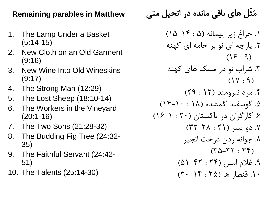#### **Remaining parables in Matthew**

- 1. The Lamp Under a Basket (5:14-15)
- 2. New Cloth on an Old Garment (9:16)
- 3. New Wine Into Old Wineskins (9:17)
- 4. The Strong Man (12:29)
- 5. The Lost Sheep (18:10-14)
- 6. The Workers in the Vineyard (20:1-16)
- 7. The Two Sons (21:28-32)
- 8. The Budding Fig Tree (24:32- 35)
- 9. The Faithful Servant (24:42- 51)
- 10. The Talents (25:14-30)

مَثَل های باقی مانده در انجیل متی

.1 چراغ زیر پیمانه )5 : 15-14( .2 پارچه ای نو بر جامه ای کهنه )16 : 9(

.3 شراب نو در مشک های کهنه )17 : 9(

.4 مرد نیرومند )12 : 29( .5 گوسفند گمشده )18 : 14-10(

.6 کارگران در تاکستان )20 : 16-1( .7 دو پسر )21 : 32-28(

.8 جوانه زدن درخت انجیر )35-32 : 24(

.9 غالم امین )24 : 51-42( .10 قنطار ها )25 : 30-14(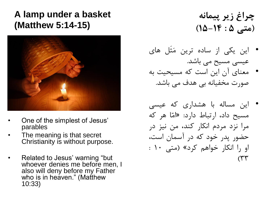### **A lamp under a basket (Matthew 5:14-15)**



- One of the simplest of Jesus' parables
- The meaning is that secret Christianity is without purpose.
- Related to Jesus' warning "but whoever denies me before men, I also will deny before my Father who is in heaven." (Matthew 10:33)

**چراغ زیر پیمانه )متی 5 : 15-14(**

- این یکی از ساده ترین مَثَل های عیسی مسیح می باشد.
- معنای آن این است که مسیحیت به صورت مخفیانه بی هدف می باشد.
- این مساله با هشداری که عیسی مسیح داد، ارتباط دارد: »امّا هر که مرا نزد مردم انکار کند، من نیز در حضور پدر خود که در آسمان است، او را انکار خواهم کرد» (متی ۱۰ :  $(\uparrow\uparrow\uparrow$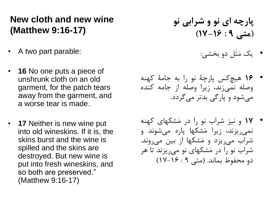#### **New cloth and new wine (Matthew 9:16-17)**

- A two part parable:
- **16** No one puts a piece of unshrunk cloth on an old garment, for the patch tears away from the garment, and a worse tear is made.
- **17** Neither is new wine put into old wineskins. If it is, the skins burst and the wine is spilled and the skins are destroyed. But new wine is put into fresh wineskins, and so both are preserved." (Matthew 9:16-17)

**پارچه ای نو و شرابی نو )متی 9 : 17-16(**

- یک مَثَل دو بخشی:
- 16 هیچ کس پارچۀ نو را به جامۀ کهنه وصله نمی زند، زیرا وصله از جامه کنده می شود و پارگی بدتر می گردد.
- 17 و نیز شراب نو را در مَشکهای کهنه نمی ریزند، زیرا مَشکها پاره می شوند و شراب می ریزد و مَشکها از بین می روند. شراب نو را در مَشکهای نو می ریزند تا هر دو محفوظ بماند. )متی 9 : 17-16(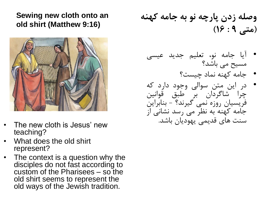#### **Sewing new cloth onto an old shirt (Matthew 9:16)**



- The new cloth is Jesus' new teaching?
- What does the old shirt represent?
- The context is a question why the disciples do not fast according to custom of the Pharisees – so the old shirt seems to represent the old ways of the Jewish tradition.

**وصله زدن پارچه نو به جامه کهنه )متی 9 : 16(**

- آیا جامه نو، تعلیم جدید عیسی مسیح می باشد؟
	- جامه کهنه نماد چیست؟
- در این متن سوالی وجود دارد که چرا شاگردان بر طبق قوانین فریسیان روزه نمی گیرند؟ - بنابراین جامه کهنه به نظر می رسد نشانی از سنت های قدیمی یهودیان باشد.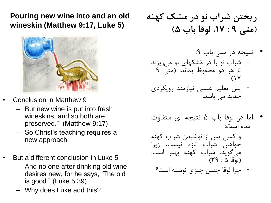**Pouring new wine into and an old wineskin (Matthew 9:17, Luke 5)**



- Conclusion in Matthew 9
	- But new wine is put into fresh wineskins, and so both are preserved." (Matthew 9:17)
	- So Christ's teaching requires a new approach
- But a different conclusion in Luke 5
	- And no one after drinking old wine desires new, for he says, 'The old is good." (Luke 5:39)
	- Why does Luke add this?

**ریختن شراب نو در مشک کهنه )متی 9 : ،17 لوقا باب 5(**

#### • نتیجه در متی باب :9 - شراب نو را در مَشکهای نو می ریزند تا هر دو محفوظ بماند. )متی 9 :  $($  $\vee$

- پس تعلیم عیسی نیازمند رویکردی جدید می باشد.
- اما در لوقا باب 5 نتیجه ای متفاوت آمده است:
- و کسی پس از نوشیدن شراب کهنه خواهان شراب تازه نیست، زیرا می گوید: شراب کهنه بهتر است. )لوقا 5 : 39(
	- چرا لوقا چنین چیزی نوشته است؟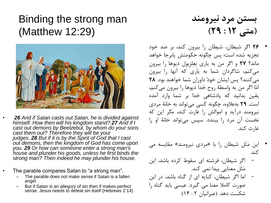### Binding the strong man (Matthew 12:29)



- *26 And if Satan casts out Satan, he is divided against himself. How then will his kingdom stand? 27 And if I cast out demons by Beelzebul, by whom do your sons cast them out? Therefore they will be your judges. 28 But if it is by the Spirit of God that I cast out demons, then the kingdom of God has come upon you. 29 Or how can someone enter a strong man's house and plunder his goods, unless he first binds the strong man? Then indeed he may plunder his house.*
- The parable compares Satan to "a strong man".
	- The parable does not make sense if Satan is a fallen angel.
	- But if Satan is an allegory of sin then if makes perfect sense. Jesus needs to defeat sin itself (Hebrews 2:14)

**بستن مرد نیرومند )متی 12 : 29(**

- 26 اگر شیطان، شیطان را بیرون کند، بر ضد خود تجزیه شده است؛ پس چگونه حکومتش پابرجا خواهد ماند؟ 27 و اگر من به یاری بِعِلزِبول دیوها را بیرون می کنم، شاگردان شما به یاری که آنها را بیرون می کنند؟ پس ایشان خودْ داوران شما خواهند بود. 28 امّا اگر من به واسطۀ روح خدا دیوها را بیرون می کنم، یقین بدانید که پادشاهی خدا بر شما وارد آمده است. 29 به عالوه، چگونه کسی می تواند به خانۀ مردی نیرومند درآید و اموالش را غارت کند، مگر این که نخست آن مرد را ببندد. سپس می تواند خانۀ او را غارت کند.
- این مَثَل شیطان را با »مردی نیرومند« مقایسه می کند.
- اگر شیطان، فرشته ای سقوط کرده باشد، این مَثَل معنایی پیدا نمی کند.
- اما اگر شیطان، کنایه ای از گناه باشد، در این صورت کامال معنا می گیرد. عیسی باید گناه را شکست دهد. )عبرانیان 2 : 14(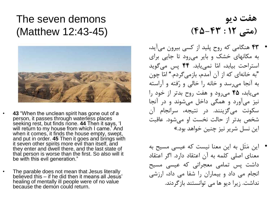## The seven demons (Matthew 12:43-45)



- **43** "When the unclean spirit has gone out of a person, it passes through waterless places seeking rest, but finds none. **44** Then it says, 'I will return to my house from which I came.<sup>7</sup> And when it comes, it finds the house empty, swept, and put in order. **45** Then it goes and brings with it seven other spirits more evil than itself, and they enter and dwell there, and the last state of that person is worse than the first. So also will it be with this evil generation."
- The parable does not mean that Jesus literally believed this – if he did then it means all Jesus' healing of mentally ill people were of no value because the demon could return.

**هفت دیو )متی 12 : 45-43(**

- 43 هنگامی که روح پلید از کسی بیرون می آید، به مکانهای خشک و بایر می رود تا جایی برای استراحت بیابد، امّا نمی یابد. 44 پس می گوید "به خانه ای که از آن آمدم، بازمی گردم." امّا چون به آنجا می رسد و خانه را خالی و رُفته و آراسته می یابد، 45 می رود و هفت روح بدتر از خود را نیز می آورد و همگی داخل می شوند و در آنجا سکونت می گزینند. در نتیجه، سرانجام آن شخص بدتر از حالت نخست او می شود. عاقبت این نسل شریر نیز چنین خواهد بود.«
- این مَثَل به این معنا نیست که عیسی مسیح به معنای اصلی کلمه به آن اعتقاد دارد. اگر اعتقاد داشت پس تمامی معجراتی که عیسی مسیح انجام می داد و بیماران را شفا می داد، ارزشی نداشت. زیرا دیو ها می توانستند بازگردند.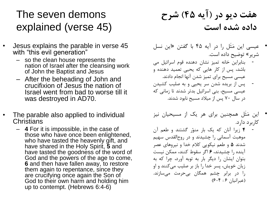## The seven demons explained (verse 45)

- Jesus explains the parable in verse 45 with "this evil generation"
	- so the clean house represents the nation of Israel after the cleansing work of John the Baptist and Jesus
	- After the beheading of John and crucifixion of Jesus the nation of Israel went from bad to worse till it was destroyed in AD70.
- The parable also applied to individual **Christians** 
	- **4** For it is impossible, in the case of those who have once been enlightened, who have tasted the heavenly gift, and have shared in the Holy Spirit, **5** and have tasted the goodness of the word of God and the powers of the age to come, **6** and then have fallen away, to restore them again to repentance, since they are crucifying once again the Son of God to their own harm and holding him up to contempt. (Hebrews 6:4-6)

## **هفت دیو در )آیه 45( شرح داده شده است**

- عیسی این مَثَل را در آیه 45 با گفتن »این نسل شریر« توضیح داده است.
- بنابراین خانه تمیز نشان دهنده قوم اسرائیل می باشد، پس از کار هایی که یحیی تعمید دهنده و عیسی مسیح برای تمیز شدن آنها انجام دادند. - پس از بریده شدن سر یحیی و به صلیب کشیدن عیسی مسیح، بنی اسرائیل بدتر شدند تا زمانی که در سال 70 پس از میالد مسیح نابود شدند.
- این مَثَل همچنین برای هر یک از مسیحیان نیز کاربرد دارد.
- 4 زیرا آنان که یک بار منوّر گشتند و طعم آن موهبت آسمانی را چشیدند و در روح القدس سهیم شدند 5 و طعم نیکویی کالم خدا و نیروهای عصر آینده را چشیدند، 6 اگر سقوط کنند، ممکن نیست بتوان ایشان را دیگر بار به توبه آورد، چرا که به زیان خویش، پسر خدا را باز بر صلیب می کنند و او را در برابر چشم همگان بی حرمت می سازند. )عبرانیان 6 : 6-4(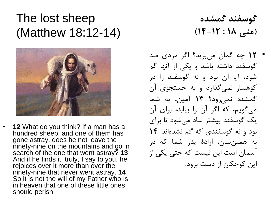## The lost sheep (Matthew 18:12-14)



• **12** What do you think? If a man has a hundred sheep, and one of them has gone astray, does he not leave the ninety-nine on the mountains and go in search of the one that went astray? **13** And if he finds it, truly, I say to you, he rejoices over it more than over the ninety-nine that never went astray. **14** So it is not the will of my Father who is in heaven that one of these little ones should perish.

**گوسفند گمشده )متی 18 : 14-12(**

• 12 چه گمان می برید؟ اگر مردی صد گوسفند داشته باشد و یکی از آنها گم شود، آیا آن نود و نه گوسفند را در کوهسار نمی گذارد و به جستجوی آن گمشده نمی رود؟ 13 آمین، به شما می گویم، که اگر آن را بیابد، برای آن یک گوسفند بیشتر شاد می شود تا برای نود و نه گوسفندی که گم نشده اند. 14 به همین سان، ارادۀ پدر شما که در آسمان است این نیست که حتی یکی از این کوچکان از دست برود.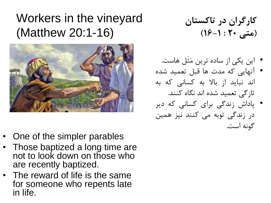# Workers in the vineyard (Matthew 20:1-16)



- One of the simpler parables
- Those baptized a long time are not to look down on those who are recently baptized.
- The reward of life is the same for someone who repents late in life.

**کارگران در تاکستان )متی 20 : 16-1(**

- این یکی از ساده ترین مَثَل هاست.
- آنهایی که مدت ها قبل تعمید شده اند نباید از باال به کسانی که به تازگی تعمید شده اند نگاه کنند.
- پاداش زندگی برای کسانی که دیر در زندگی توبه می کنند نیز همین گونه است.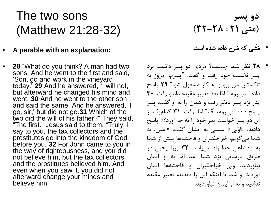# The two sons (Matthew 21:28-32)

- **A parable with an explanation:**
- **28** "What do you think? A man had two sons. And he went to the first and said, 'Son, go and work in the vineyard today.' **29** And he answered, 'I will not,' but afterward he changed his mind and went. **30** And he went to the other son and said the same. And he answered, 'I go, sir,' but did not go.**31** Which of the two did the will of his father?" They said, "The first." Jesus said to them, "Truly, I say to you, the tax collectors and the prostitutes go into the kingdom of God before you. **32** For John came to you in the way of righteousness, and you did not believe him, but the tax collectors and the prostitutes believed him. And even when you saw it, you did not afterward change your minds and believe him.

### **دو پسر )متی 21 : 32-28(**

- مَثَلی که شرح داده شده است:
- 28 نظر شما چیست؟ مردی دو پسر داشت. نزد پسر نخست خود رفت و گفت: "پسرم، امروز به تاکستان من برو و به کار مشغول شو." 29 پاسخ "نمی روم." امّا بعد تغییر عقیده داد و رفت. 30 داد: پدر نزد پسر دیگر رفت و همان را به او گفت. پسر پاسخ داد: "میروم، اقا،" امّا نرفت. ۳۱ کدامیک از آن دو پسر خواست پدر خود را به جا آورد؟« پاسخ دادند: »اوّلی.« عیسی به ایشان گفت: »آمین، به شما می گویم، خَراجگیران و فاحشه ها پیش از شما به پادشاهی خدا راه می یابند. 32 زیرا یحیی در طریق پارسایی نزد شما آمد امّا به او ایمان نیاوردید، ولی خَراجگیران و فاحشه ها ایمان آوردند. و شما با اینکه این را دیدید، تغییر عقیده ندادید و به او ایمان نیاوردید.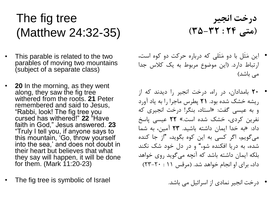# The fig tree (Matthew 24:32-35)

- This parable is related to the two parables of moving two mountains (subject of a separate class)
- **20** In the morning, as they went along, they saw the fig tree withered from the roots. **21** Peter remembered and said to Jesus, "Rabbi, look! The fig tree you cursed has withered!" **22** "Have faith in God," Jesus answered. **23** "Truly I tell you, if anyone says to this mountain, 'Go, throw yourself into the sea,' and does not doubt in their heart but believes that what they say will happen, it will be done for them. (Mark 11:20-23)
- The fig tree is symbolic of Israel
- **درخت انجیر )متی 24 : 35-32(**
- این مَثَل با دو مَثَلی که درباره حرکت دو کوه است، ارتباط دارد. )این موضوع مربوط به یک کالس جدا می باشد)
- 20 بامدادان، در راه، درخت انجیر را دیدند که از ریشه خشک شده بود. 21 پطرس ماجرا را به یاد آورد و به عیسی گفت: »استاد، بنگر! درخت انجیری که نفرین کردی، خشک شده است.« 22 عیسی پاسخ داد: »به خدا ایمان داشته باشید. 23 آمین، به شما می گویم، اگر کسی به این کوه بگوید، "از جا کنده شده، به دریا افکنده شو،" و در دل خود شک نکند بلکه ایمان داشته باشد که آنچه می گوید روی خواهد داد، برای او انجام خواهد شد. )مرقس 11 : 23-20(
	- درخت انجیر نمادی از اسرائیل می باشد.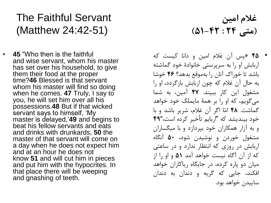## The Faithful Servant (Matthew 24:42-51)

• **45** "Who then is the faithful and wise servant, whom his master has set over his household, to give them their food at the proper time?**46** Blessed is that servant whom his master will find so doing when he comes. **47** Truly, I say to you, he will set him over all his possessions.**48** But if that wicked servant says to himself, 'My master is delayed,'**49** and begins to beat his fellow servants and eats and drinks with drunkards, **50** the master of that servant will come on a day when he does not expect him and at an hour he does not know **51** and will cut him in pieces and put him with the hypocrites. In that place there will be weeping and gnashing of teeth.

**غالم امین )متی 24 : 51-42(**

• 45 »پس آن غالم امین و دانا کیست که اربابش او را به سرپرستی خانوادۀ خود گماشته باشد تا خوراک آنان را به موقع بدهد؟ 46 خوشا به حال آن غالم که چون اربابش بازگردد، او را مشغول این کار ببیند. 47 آمین، به شما می گویم، که او را بر همۀ مایملک خود خواهد گماشت. 48 امّا اگر آن غالم، شریر باشد و با خود بیندیشد که "اربابم تأخیر کرده است،"49 و به آزار همکاران خود بپردازد و با میگساران مشغول خوردن و نوشیدن شود، 50 آنگاه اربابش در روزی که انتظار ندارد و در ساعتی که از آن آگاه نیست خواهد آمد 51 و او را از میان دو پاره کرده، در جایگاه ریاکاران خواهد افکند، جایی که گریه و دندان به دندان ساییدن خواهد بود.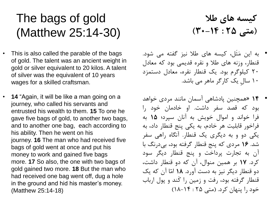# The bags of gold (Matthew 25:14-30)

- This is also called the parable of the bags of gold. The talent was an ancient weight in gold or silver equivalent to 20 kilos. A talent of silver was the equivalent of 10 years wages for a skilled craftsman.
- **14** "Again, it will be like a man going on a journey, who called his servants and entrusted his wealth to them. **15** To one he gave five bags of gold, to another two bags, and to another one bag, each according to his ability. Then he went on his journey. **16** The man who had received five bags of gold went at once and put his money to work and gained five bags more. **17** So also, the one with two bags of gold gained two more. **18** But the man who had received one bag went off, dug a hole in the ground and hid his master's money. (Matthew 25:14-18)

**کیسه های طال )متی 25 : 30-14(**

- به این مَثَل، کیسه های طال نیز گفته می شود. قنطار، وزنه های طال و نقره قدیمی بود که معادل 20 کیلوگرم بود. یک قنطار نقره، معادل دستمزد 10 سالِ یک کارگر ماهر می باشد.
- 14 »همچنین پادشاهی آسمان مانند مردی خواهد بود که قصد سفر داشت. او خادمان خود را فرا خواند و اموال خویش به آنان سپرد؛ 15 به فراخور قابلیت هر خادم، به یکی پنج قنطار داد، به یکی دو و به دیگری یک قنطار. آنگاه راهی سفر شد. 16 مردی که پنج قنطار گرفته بود، بی درنگ با آن به تجارت پرداخت و پنج قنطار دیگر سود کرد. 17 بر همین منوال، آن که دو قنطار داشت، دو قنطار دیگر نیز به دست آورد. 18 امّا آن که یک قنطار گرفته بود، رفت و زمین را کَند و پول ارباب خود را پنهان کرد. )متی 25 : 18-14(